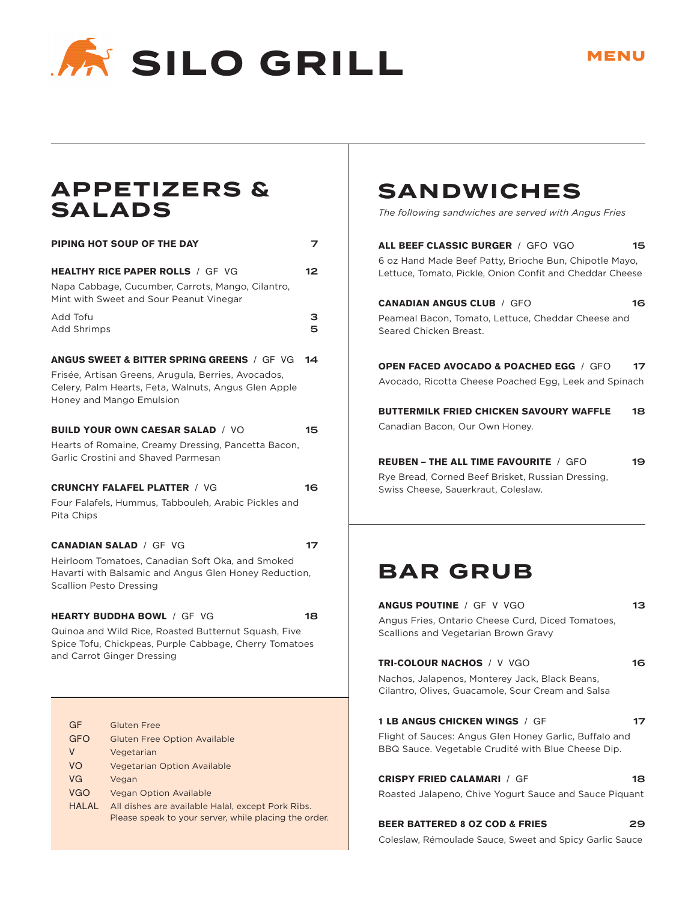

#### **APPETIZERS & SALADS**

| <b>PIPING HOT SOUP OF THE DAY</b>               |                                                                                                                                                                                                  |        |  |
|-------------------------------------------------|--------------------------------------------------------------------------------------------------------------------------------------------------------------------------------------------------|--------|--|
|                                                 | <b>HEALTHY RICE PAPER ROLLS / GF VG</b><br>Napa Cabbage, Cucumber, Carrots, Mango, Cilantro,<br>Mint with Sweet and Sour Peanut Vinegar                                                          | 12     |  |
| Add Tofu<br>Add Shrimps                         |                                                                                                                                                                                                  | з<br>5 |  |
|                                                 | <b>ANGUS SWEET &amp; BITTER SPRING GREENS / GF VG</b><br>Frisée, Artisan Greens, Arugula, Berries, Avocados,<br>Celery, Palm Hearts, Feta, Walnuts, Angus Glen Apple<br>Honey and Mango Emulsion | 14     |  |
|                                                 | BUILD YOUR OWN CAESAR SALAD / VO<br>Hearts of Romaine, Creamy Dressing, Pancetta Bacon,<br>Garlic Crostini and Shaved Parmesan                                                                   | 15     |  |
| Pita Chips                                      | <b>CRUNCHY FALAFEL PLATTER / VG</b><br>Four Falafels, Hummus, Tabbouleh, Arabic Pickles and                                                                                                      | 16     |  |
| Scallion Pesto Dressing                         | <b>CANADIAN SALAD / GF VG</b><br>Heirloom Tomatoes, Canadian Soft Oka, and Smoked<br>Havarti with Balsamic and Angus Glen Honey Reduction,                                                       | 17     |  |
|                                                 | <b>HEARTY BUDDHA BOWL / GF VG</b><br>Quinoa and Wild Rice, Roasted Butternut Squash, Five<br>Spice Tofu, Chickpeas, Purple Cabbage, Cherry Tomatoes<br>and Carrot Ginger Dressing                | 18     |  |
| GF<br><b>GFO</b><br>V<br>VO<br>VG<br><b>VGO</b> | <b>Gluten Free</b><br><b>Gluten Free Option Available</b><br>Vegetarian<br><b>Vegetarian Option Available</b><br>Vegan<br><b>Vegan Option Available</b>                                          |        |  |

#### HALAL All dishes are available Halal, except Pork Ribs. Please speak to your server, while placing the order.

### **SANDWICHES**

*The following sandwiches are served with Angus Fries*